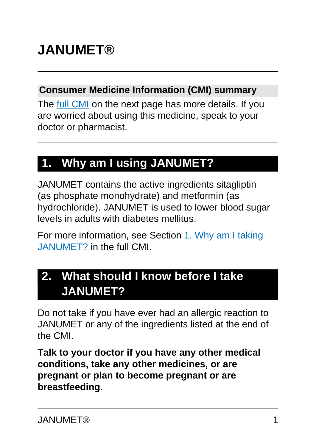# **JANUMET®**

#### **Consumer Medicine Information (CMI) summary**

The [full CMI](#page-4-0) on the next page has more details. If you are worried about using this medicine, speak to your doctor or pharmacist.

# **1. Why am I using JANUMET?**

JANUMET contains the active ingredients sitagliptin (as phosphate monohydrate) and metformin (as hydrochloride). JANUMET is used to lower blood sugar levels in adults with diabetes mellitus.

For more information, see Section [1. Why am I taking](#page-4-1) [JANUMET?](#page-4-1) in the full CMI.

## **2. What should I know before I take JANUMET?**

Do not take if you have ever had an allergic reaction to JANUMET or any of the ingredients listed at the end of the CMI.

**Talk to your doctor if you have any other medical conditions, take any other medicines, or are pregnant or plan to become pregnant or are breastfeeding.**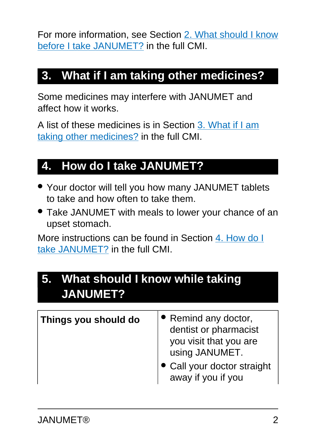For more information, see Section [2. What should I know](#page-5-0) [before I take JANUMET?](#page-5-0) in the full CMI.

## **3. What if I am taking other medicines?**

Some medicines may interfere with JANUMET and affect how it works.

A list of these medicines is in Section [3. What if I am](#page-6-0) [taking other medicines?](#page-6-0) in the full CMI.

# **4. How do I take JANUMET?**

- Your doctor will tell you how many JANUMET tablets to take and how often to take them.
- Take JANUMET with meals to lower your chance of an upset stomach.

More instructions can be found in Section [4. How do I](#page-7-0) [take JANUMET?](#page-7-0) in the full CMI.

### **5. What should I know while taking JANUMET?**

| Things you should do | • Remind any doctor,<br>dentist or pharmacist<br>you visit that you are<br>using JANUMET.<br>• Call your doctor straight<br>away if you if you |
|----------------------|------------------------------------------------------------------------------------------------------------------------------------------------|
|----------------------|------------------------------------------------------------------------------------------------------------------------------------------------|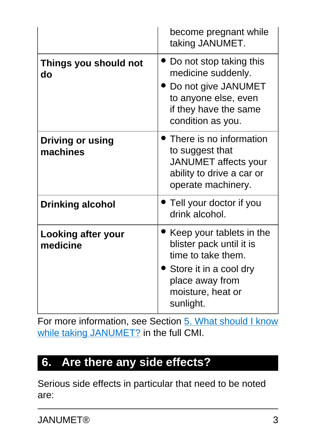|                                     | become pregnant while<br>taking JANUMET.                                                                                                                    |
|-------------------------------------|-------------------------------------------------------------------------------------------------------------------------------------------------------------|
| Things you should not<br>do         | Do not stop taking this<br>medicine suddenly.<br>Do not give JANUMET<br>to anyone else, even<br>if they have the same<br>condition as you.                  |
| <b>Driving or using</b><br>machines | There is no information<br>to suggest that<br><b>JANUMET</b> affects your<br>ability to drive a car or<br>operate machinery.                                |
| <b>Drinking alcohol</b>             | Tell your doctor if you<br>drink alcohol.                                                                                                                   |
| Looking after your<br>medicine      | • Keep your tablets in the<br>blister pack until it is<br>time to take them.<br>Store it in a cool dry<br>place away from<br>moisture, heat or<br>sunlight. |

For more information, see Section [5. What should I know](#page-8-0) [while taking JANUMET?](#page-8-0) in the full CMI.

### **6. Are there any side effects?**

Serious side effects in particular that need to be noted are: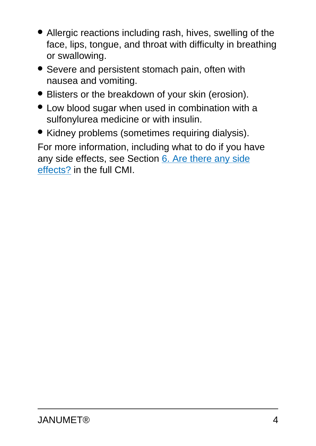- Allergic reactions including rash, hives, swelling of the face, lips, tongue, and throat with difficulty in breathing or swallowing.
- Severe and persistent stomach pain, often with nausea and vomiting.
- Blisters or the breakdown of your skin (erosion).
- Low blood sugar when used in combination with a sulfonylurea medicine or with insulin.
- Kidney problems (sometimes requiring dialysis).

For more information, including what to do if you have any side effects, see Section [6. Are there any side](#page-13-0) [effects?](#page-13-0) in the full CMI.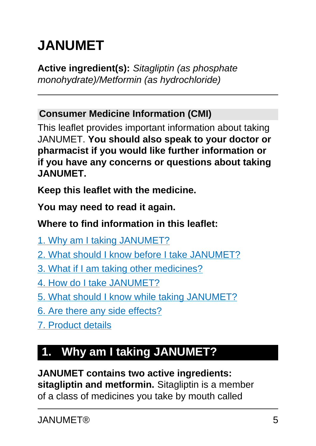# <span id="page-4-0"></span>**JANUMET**

**Active ingredient(s):** Sitagliptin (as phosphate monohydrate)/Metformin (as hydrochloride)

#### **Consumer Medicine Information (CMI)**

This leaflet provides important information about taking JANUMET. **You should also speak to your doctor or pharmacist if you would like further information or if you have any concerns or questions about taking JANUMET.**

**Keep this leaflet with the medicine.**

**You may need to read it again.**

#### **Where to find information in this leaflet:**

- [1. Why am I taking JANUMET?](#page-4-1)
- [2. What should I know before I take JANUMET?](#page-5-0)
- [3. What if I am taking other medicines?](#page-6-0)
- [4. How do I take JANUMET?](#page-7-0)
- [5. What should I know while taking JANUMET?](#page-8-0)
- [6. Are there any side effects?](#page-13-0)
- [7. Product details](#page-16-0)

# <span id="page-4-1"></span>**1. Why am I taking JANUMET?**

#### **JANUMET contains two active ingredients:**

**sitagliptin and metformin.** Sitagliptin is a member of a class of medicines you take by mouth called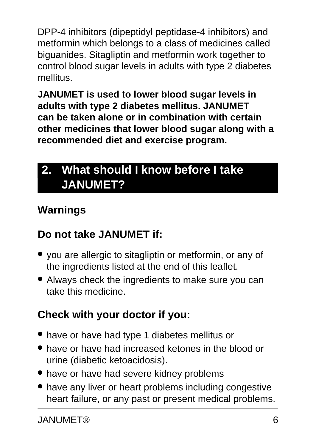DPP-4 inhibitors (dipeptidyl peptidase-4 inhibitors) and metformin which belongs to a class of medicines called biguanides. Sitagliptin and metformin work together to control blood sugar levels in adults with type 2 diabetes mellitus.

**JANUMET is used to lower blood sugar levels in adults with type 2 diabetes mellitus. JANUMET can be taken alone or in combination with certain other medicines that lower blood sugar along with a recommended diet and exercise program.**

# <span id="page-5-0"></span>**2. What should I know before I take JANUMET?**

#### **Warnings**

### **Do not take JANUMET if:**

- you are allergic to sitagliptin or metformin, or any of the ingredients listed at the end of this leaflet.
- Always check the ingredients to make sure you can take this medicine.

### **Check with your doctor if you:**

- have or have had type 1 diabetes mellitus or
- have or have had increased ketones in the blood or urine (diabetic ketoacidosis).
- have or have had severe kidney problems
- have any liver or heart problems including congestive heart failure, or any past or present medical problems.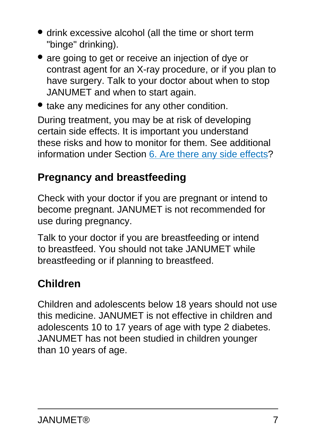- drink excessive alcohol (all the time or short term "binge" drinking).
- are going to get or receive an injection of dye or contrast agent for an X-ray procedure, or if you plan to have surgery. Talk to your doctor about when to stop JANUMET and when to start again.
- take any medicines for any other condition.

During treatment, you may be at risk of developing certain side effects. It is important you understand these risks and how to monitor for them. See additional information under Section [6. Are there any side effects](#page-13-0)?

### **Pregnancy and breastfeeding**

Check with your doctor if you are pregnant or intend to become pregnant. JANUMET is not recommended for use during pregnancy.

Talk to your doctor if you are breastfeeding or intend to breastfeed. You should not take JANUMET while breastfeeding or if planning to breastfeed.

### **Children**

<span id="page-6-0"></span>Children and adolescents below 18 years should not use this medicine. JANUMET is not effective in children and adolescents 10 to 17 years of age with type 2 diabetes. JANUMET has not been studied in children younger than 10 years of age.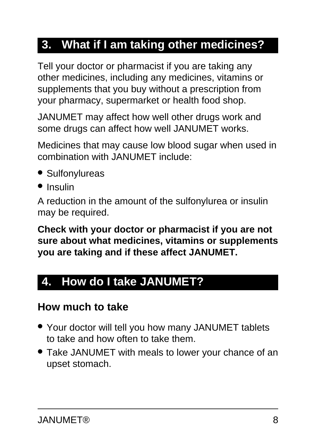### **3. What if I am taking other medicines?**

Tell your doctor or pharmacist if you are taking any other medicines, including any medicines, vitamins or supplements that you buy without a prescription from your pharmacy, supermarket or health food shop.

JANUMET may affect how well other drugs work and some drugs can affect how well JANUMET works.

Medicines that may cause low blood sugar when used in combination with JANUMET include:

- Sulfonylureas
- Insulin

A reduction in the amount of the sulfonylurea or insulin may be required.

**Check with your doctor or pharmacist if you are not sure about what medicines, vitamins or supplements you are taking and if these affect JANUMET.**

### <span id="page-7-0"></span>**4. How do I take JANUMET?**

#### **How much to take**

- Your doctor will tell you how many JANUMET tablets to take and how often to take them.
- Take JANUMET with meals to lower your chance of an upset stomach.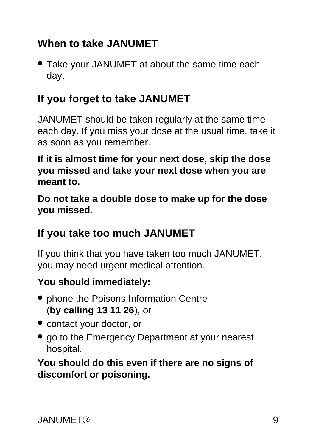#### **When to take JANUMET**

• Take your JANUMET at about the same time each day.

#### **If you forget to take JANUMET**

JANUMET should be taken regularly at the same time each day. If you miss your dose at the usual time, take it as soon as you remember.

**If it is almost time for your next dose, skip the dose you missed and take your next dose when you are meant to.**

**Do not take a double dose to make up for the dose you missed.**

#### **If you take too much JANUMET**

If you think that you have taken too much JANUMET, you may need urgent medical attention.

#### **You should immediately:**

- phone the Poisons Information Centre (**by calling 13 11 26**), or
- contact your doctor, or
- go to the Emergency Department at your nearest hospital.

<span id="page-8-0"></span>**You should do this even if there are no signs of discomfort or poisoning.**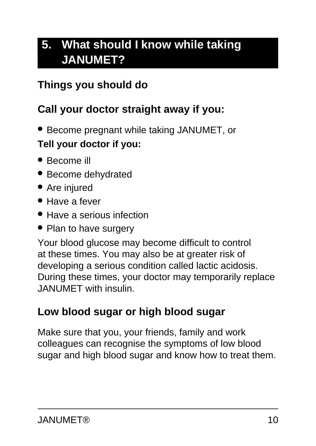# **5. What should I know while taking JANUMET?**

#### **Things you should do**

#### **Call your doctor straight away if you:**

● Become pregnant while taking JANUMET, or

#### **Tell your doctor if you:**

- Become ill
- Become dehydrated
- Are injured
- Have a fever
- Have a serious infection
- Plan to have surgery

Your blood glucose may become difficult to control at these times. You may also be at greater risk of developing a serious condition called lactic acidosis. During these times, your doctor may temporarily replace JANUMET with insulin.

#### **Low blood sugar or high blood sugar**

Make sure that you, your friends, family and work colleagues can recognise the symptoms of low blood sugar and high blood sugar and know how to treat them.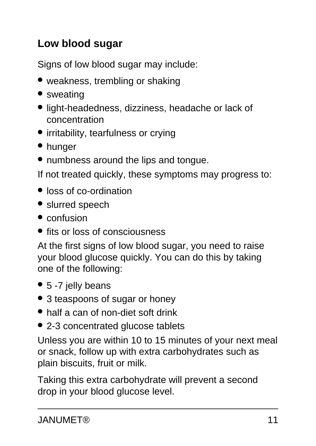### **Low blood sugar**

Signs of low blood sugar may include:

- weakness, trembling or shaking
- sweating
- light-headedness, dizziness, headache or lack of concentration
- irritability, tearfulness or crying
- hunger
- numbness around the lips and tongue.

If not treated quickly, these symptoms may progress to:

- loss of co-ordination
- slurred speech
- confusion
- fits or loss of consciousness

At the first signs of low blood sugar, you need to raise your blood glucose quickly. You can do this by taking one of the following:

- 5 -7 jelly beans
- 3 teaspoons of sugar or honey
- half a can of non-diet soft drink
- 2-3 concentrated glucose tablets

Unless you are within 10 to 15 minutes of your next meal or snack, follow up with extra carbohydrates such as plain biscuits, fruit or milk.

Taking this extra carbohydrate will prevent a second drop in your blood glucose level.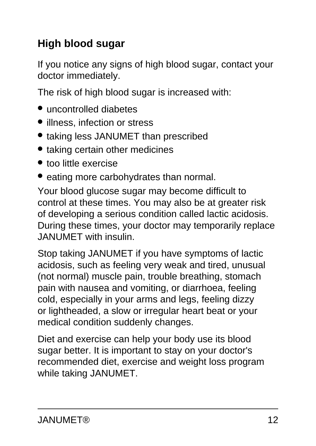### **High blood sugar**

If you notice any signs of high blood sugar, contact your doctor immediately.

The risk of high blood sugar is increased with:

- uncontrolled diabetes
- illness, infection or stress
- taking less JANUMET than prescribed
- taking certain other medicines
- too little exercise
- eating more carbohydrates than normal.

Your blood glucose sugar may become difficult to control at these times. You may also be at greater risk of developing a serious condition called lactic acidosis. During these times, your doctor may temporarily replace JANUMET with insulin.

Stop taking JANUMET if you have symptoms of lactic acidosis, such as feeling very weak and tired, unusual (not normal) muscle pain, trouble breathing, stomach pain with nausea and vomiting, or diarrhoea, feeling cold, especially in your arms and legs, feeling dizzy or lightheaded, a slow or irregular heart beat or your medical condition suddenly changes.

Diet and exercise can help your body use its blood sugar better. It is important to stay on your doctor's recommended diet, exercise and weight loss program while taking JANUMET.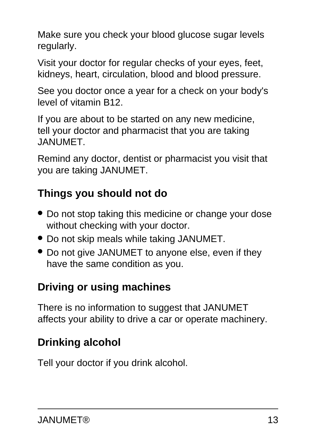Make sure you check your blood glucose sugar levels regularly.

Visit your doctor for regular checks of your eyes, feet, kidneys, heart, circulation, blood and blood pressure.

See you doctor once a year for a check on your body's level of vitamin B12.

If you are about to be started on any new medicine, tell your doctor and pharmacist that you are taking JANUMET.

Remind any doctor, dentist or pharmacist you visit that you are taking JANUMET.

### **Things you should not do**

- Do not stop taking this medicine or change your dose without checking with your doctor.
- Do not skip meals while taking JANUMET.
- Do not give JANUMET to anyone else, even if they have the same condition as you.

### **Driving or using machines**

There is no information to suggest that JANUMET affects your ability to drive a car or operate machinery.

# **Drinking alcohol**

Tell your doctor if you drink alcohol.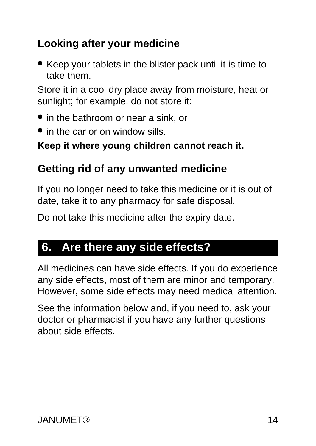### **Looking after your medicine**

• Keep your tablets in the blister pack until it is time to take them.

Store it in a cool dry place away from moisture, heat or sunlight; for example, do not store it:

- in the bathroom or near a sink, or
- in the car or on window sills.

#### **Keep it where young children cannot reach it.**

#### **Getting rid of any unwanted medicine**

If you no longer need to take this medicine or it is out of date, take it to any pharmacy for safe disposal.

Do not take this medicine after the expiry date.

### <span id="page-13-0"></span>**6. Are there any side effects?**

All medicines can have side effects. If you do experience any side effects, most of them are minor and temporary. However, some side effects may need medical attention.

See the information below and, if you need to, ask your doctor or pharmacist if you have any further questions about side effects.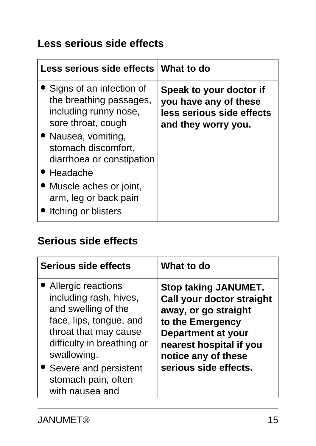#### **Less serious side effects**

| Less serious side effects What to do                                                                 |                                                                                                      |
|------------------------------------------------------------------------------------------------------|------------------------------------------------------------------------------------------------------|
| • Signs of an infection of<br>the breathing passages,<br>including runny nose,<br>sore throat, cough | Speak to your doctor if<br>you have any of these<br>less serious side effects<br>and they worry you. |
| • Nausea, vomiting,<br>stomach discomfort,<br>diarrhoea or constipation                              |                                                                                                      |
| $\bullet$ Headache                                                                                   |                                                                                                      |
| • Muscle aches or joint,<br>arm, leg or back pain<br>Itching or blisters                             |                                                                                                      |

#### **Serious side effects**

| Serious side effects                                                                                                                                                                                                                           | What to do                                                                                                                                                                                                          |
|------------------------------------------------------------------------------------------------------------------------------------------------------------------------------------------------------------------------------------------------|---------------------------------------------------------------------------------------------------------------------------------------------------------------------------------------------------------------------|
| <b>Allergic reactions</b><br>including rash, hives,<br>and swelling of the<br>face, lips, tongue, and<br>throat that may cause<br>difficulty in breathing or<br>swallowing.<br>Severe and persistent<br>stomach pain, often<br>with nausea and | <b>Stop taking JANUMET.</b><br><b>Call your doctor straight</b><br>away, or go straight<br>to the Emergency<br><b>Department at your</b><br>nearest hospital if you<br>notice any of these<br>serious side effects. |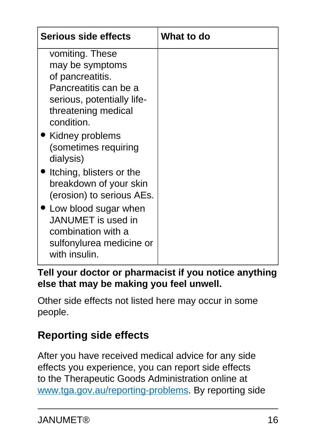| <b>Serious side effects</b>                                                                                                                                                                   | What to do |
|-----------------------------------------------------------------------------------------------------------------------------------------------------------------------------------------------|------------|
| vomiting. These<br>may be symptoms<br>of pancreatitis.<br>Pancreatitis can be a<br>serious, potentially life-<br>threatening medical<br>condition.<br>Kidney problems<br>(sometimes requiring |            |
| dialysis)<br>Itching, blisters or the<br>breakdown of your skin<br>(erosion) to serious AEs.                                                                                                  |            |
| 'Low blood sugar when<br>JANUMET is used in<br>combination with a<br>sulfonylurea medicine or<br>with insulin.                                                                                |            |

#### **Tell your doctor or pharmacist if you notice anything else that may be making you feel unwell.**

Other side effects not listed here may occur in some people.

### **Reporting side effects**

After you have received medical advice for any side effects you experience, you can report side effects to the Therapeutic Goods Administration online at [www.tga.gov.au/reporting-problems.](http://www.tga.gov.au/reporting-problems) By reporting side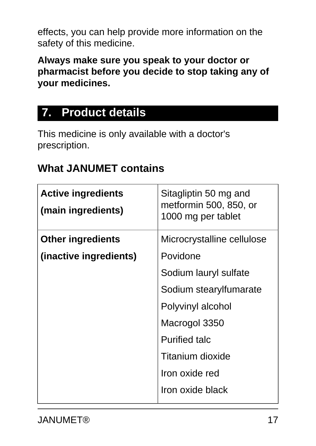effects, you can help provide more information on the safety of this medicine.

**Always make sure you speak to your doctor or pharmacist before you decide to stop taking any of your medicines.**

### <span id="page-16-0"></span>**7. Product details**

This medicine is only available with a doctor's prescription.

#### **What JANUMET contains**

| <b>Active ingredients</b><br>(main ingredients) | Sitagliptin 50 mg and<br>metformin 500, 850, or<br>1000 mg per tablet |
|-------------------------------------------------|-----------------------------------------------------------------------|
| <b>Other ingredients</b>                        | Microcrystalline cellulose                                            |
| (inactive ingredients)                          | Povidone                                                              |
|                                                 | Sodium lauryl sulfate                                                 |
|                                                 | Sodium stearylfumarate                                                |
|                                                 | Polyvinyl alcohol                                                     |
|                                                 | Macrogol 3350                                                         |
|                                                 | <b>Purified talc</b>                                                  |
|                                                 | Titanium dioxide                                                      |
|                                                 | Iron oxide red                                                        |
|                                                 | Iron oxide black                                                      |
|                                                 |                                                                       |